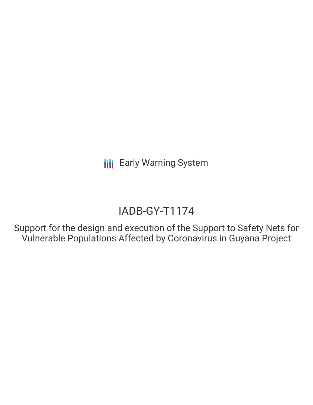# IADB-GY-T1174

Support for the design and execution of the Support to Safety Nets for Vulnerable Populations Affected by Coronavirus in Guyana Project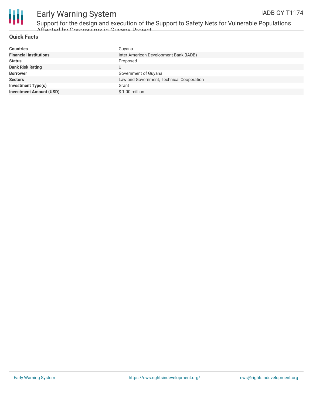

Support for the design and execution of the Support to Safety Nets for Vulnerable Populations Affected by Coronavirus in Guyana Project

### **Quick Facts**

| <b>Countries</b>               | Guyana                                    |
|--------------------------------|-------------------------------------------|
| <b>Financial Institutions</b>  | Inter-American Development Bank (IADB)    |
| <b>Status</b>                  | Proposed                                  |
| <b>Bank Risk Rating</b>        | U                                         |
| <b>Borrower</b>                | Government of Guyana                      |
| <b>Sectors</b>                 | Law and Government, Technical Cooperation |
| <b>Investment Type(s)</b>      | Grant                                     |
| <b>Investment Amount (USD)</b> | $$1.00$ million                           |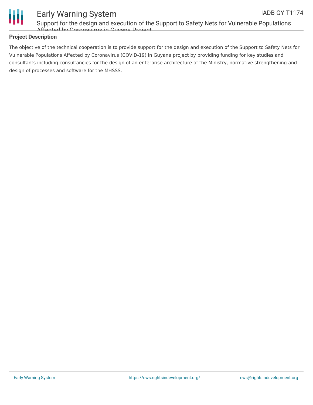

Support for the design and execution of the Support to Safety Nets for Vulnerable Populations Affected by Coronavirus in Guyana Project

### **Project Description**

The objective of the technical cooperation is to provide support for the design and execution of the Support to Safety Nets for Vulnerable Populations Affected by Coronavirus (COVID-19) in Guyana project by providing funding for key studies and consultants including consultancies for the design of an enterprise architecture of the Ministry, normative strengthening and design of processes and software for the MHSSS.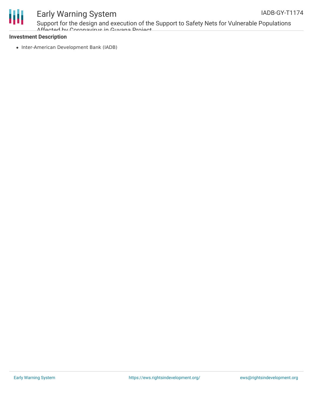

Support for the design and execution of the Support to Safety Nets for Vulnerable Populations Affected by Coronavirus in Guyana Project

### **Investment Description**

• Inter-American Development Bank (IADB)